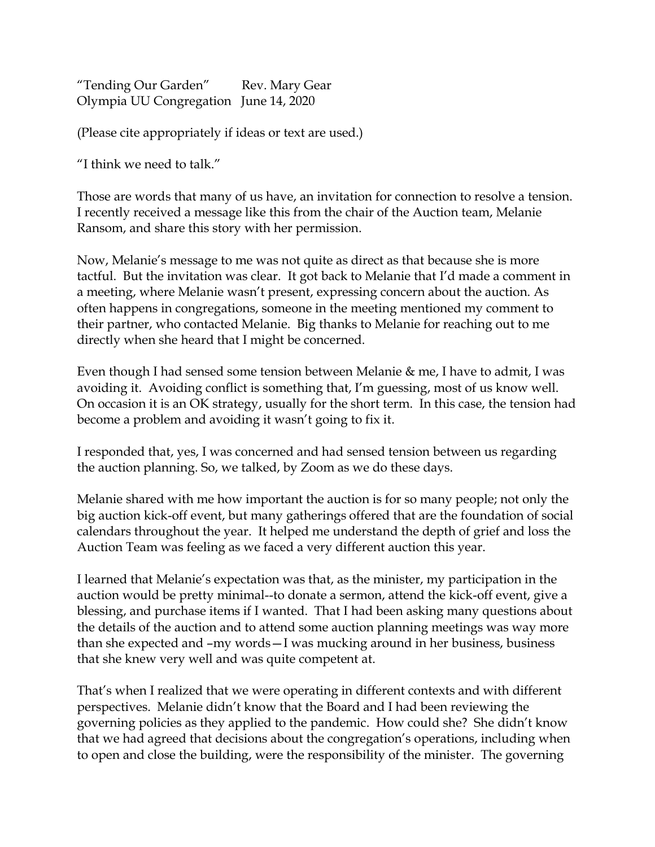"Tending Our Garden" Rev. Mary Gear Olympia UU Congregation June 14, 2020

(Please cite appropriately if ideas or text are used.)

"I think we need to talk."

Those are words that many of us have, an invitation for connection to resolve a tension. I recently received a message like this from the chair of the Auction team, Melanie Ransom, and share this story with her permission.

Now, Melanie's message to me was not quite as direct as that because she is more tactful. But the invitation was clear. It got back to Melanie that I'd made a comment in a meeting, where Melanie wasn't present, expressing concern about the auction. As often happens in congregations, someone in the meeting mentioned my comment to their partner, who contacted Melanie. Big thanks to Melanie for reaching out to me directly when she heard that I might be concerned.

Even though I had sensed some tension between Melanie & me, I have to admit, I was avoiding it. Avoiding conflict is something that, I'm guessing, most of us know well. On occasion it is an OK strategy, usually for the short term. In this case, the tension had become a problem and avoiding it wasn't going to fix it.

I responded that, yes, I was concerned and had sensed tension between us regarding the auction planning. So, we talked, by Zoom as we do these days.

Melanie shared with me how important the auction is for so many people; not only the big auction kick-off event, but many gatherings offered that are the foundation of social calendars throughout the year. It helped me understand the depth of grief and loss the Auction Team was feeling as we faced a very different auction this year.

I learned that Melanie's expectation was that, as the minister, my participation in the auction would be pretty minimal--to donate a sermon, attend the kick-off event, give a blessing, and purchase items if I wanted. That I had been asking many questions about the details of the auction and to attend some auction planning meetings was way more than she expected and –my words—I was mucking around in her business, business that she knew very well and was quite competent at.

That's when I realized that we were operating in different contexts and with different perspectives. Melanie didn't know that the Board and I had been reviewing the governing policies as they applied to the pandemic. How could she? She didn't know that we had agreed that decisions about the congregation's operations, including when to open and close the building, were the responsibility of the minister. The governing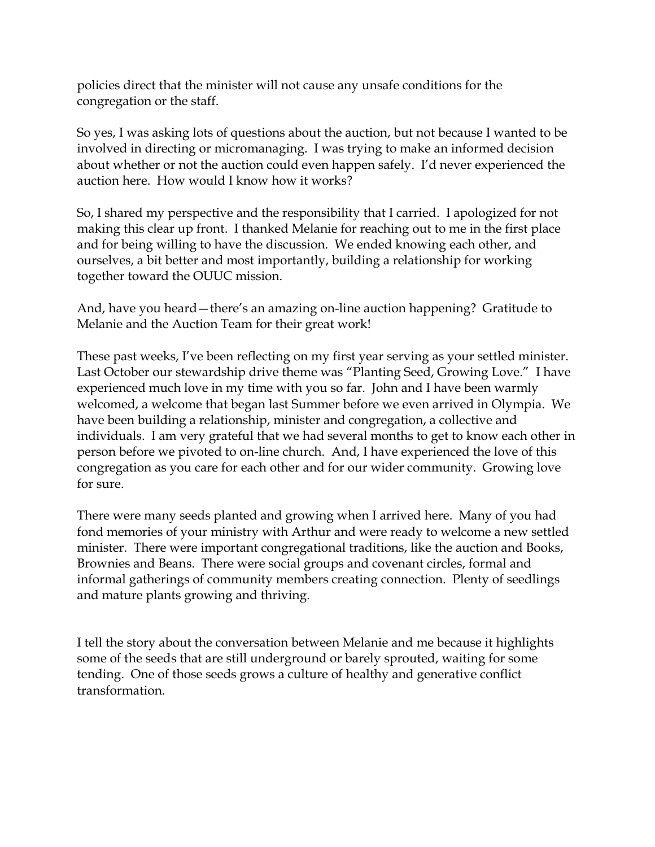policies direct that the minister will not cause any unsafe conditions for the congregation or the staff.

So yes, I was asking lots of questions about the auction, but not because I wanted to be involved in directing or micromanaging. I was trying to make an informed decision about whether or not the auction could even happen safely. I'd never experienced the auction here. How would I know how it works?

So, I shared my perspective and the responsibility that I carried. I apologized for not making this clear up front. I thanked Melanie for reaching out to me in the first place and for being willing to have the discussion. We ended knowing each other, and ourselves, a bit better and most importantly, building a relationship for working together toward the OUUC mission.

And, have you heard—there's an amazing on-line auction happening? Gratitude to Melanie and the Auction Team for their great work!

These past weeks, I've been reflecting on my first year serving as your settled minister. Last October our stewardship drive theme was "Planting Seed, Growing Love." I have experienced much love in my time with you so far. John and I have been warmly welcomed, a welcome that began last Summer before we even arrived in Olympia. We have been building a relationship, minister and congregation, a collective and individuals. I am very grateful that we had several months to get to know each other in person before we pivoted to on-line church. And, I have experienced the love of this congregation as you care for each other and for our wider community. Growing love for sure.

There were many seeds planted and growing when I arrived here. Many of you had fond memories of your ministry with Arthur and were ready to welcome a new settled minister. There were important congregational traditions, like the auction and Books, Brownies and Beans. There were social groups and covenant circles, formal and informal gatherings of community members creating connection. Plenty of seedlings and mature plants growing and thriving.

I tell the story about the conversation between Melanie and me because it highlights some of the seeds that are still underground or barely sprouted, waiting for some tending. One of those seeds grows a culture of healthy and generative conflict transformation.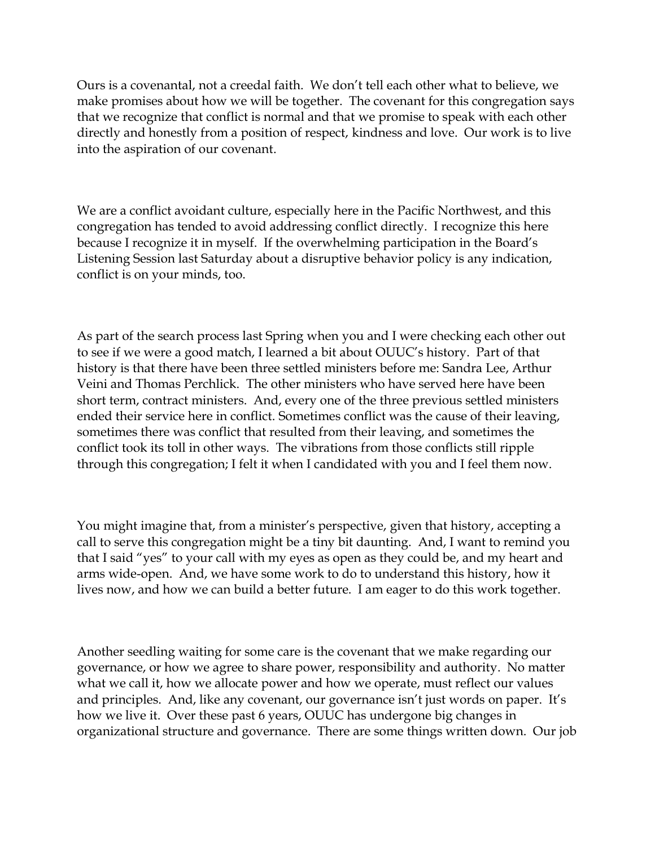Ours is a covenantal, not a creedal faith. We don't tell each other what to believe, we make promises about how we will be together. The covenant for this congregation says that we recognize that conflict is normal and that we promise to speak with each other directly and honestly from a position of respect, kindness and love. Our work is to live into the aspiration of our covenant.

We are a conflict avoidant culture, especially here in the Pacific Northwest, and this congregation has tended to avoid addressing conflict directly. I recognize this here because I recognize it in myself. If the overwhelming participation in the Board's Listening Session last Saturday about a disruptive behavior policy is any indication, conflict is on your minds, too.

As part of the search process last Spring when you and I were checking each other out to see if we were a good match, I learned a bit about OUUC's history. Part of that history is that there have been three settled ministers before me: Sandra Lee, Arthur Veini and Thomas Perchlick. The other ministers who have served here have been short term, contract ministers. And, every one of the three previous settled ministers ended their service here in conflict. Sometimes conflict was the cause of their leaving, sometimes there was conflict that resulted from their leaving, and sometimes the conflict took its toll in other ways. The vibrations from those conflicts still ripple through this congregation; I felt it when I candidated with you and I feel them now.

You might imagine that, from a minister's perspective, given that history, accepting a call to serve this congregation might be a tiny bit daunting. And, I want to remind you that I said "yes" to your call with my eyes as open as they could be, and my heart and arms wide-open. And, we have some work to do to understand this history, how it lives now, and how we can build a better future. I am eager to do this work together.

Another seedling waiting for some care is the covenant that we make regarding our governance, or how we agree to share power, responsibility and authority. No matter what we call it, how we allocate power and how we operate, must reflect our values and principles. And, like any covenant, our governance isn't just words on paper. It's how we live it. Over these past 6 years, OUUC has undergone big changes in organizational structure and governance. There are some things written down. Our job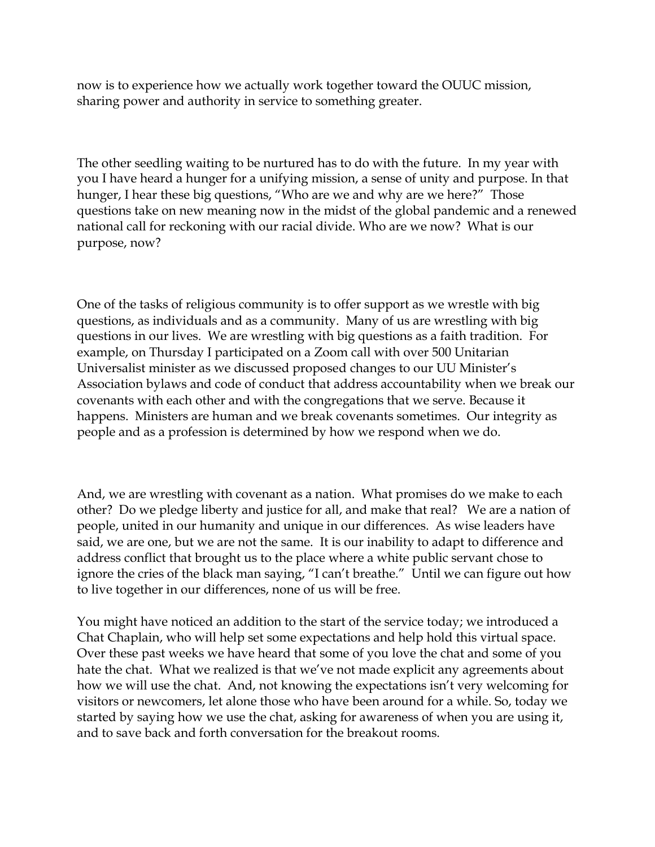now is to experience how we actually work together toward the OUUC mission, sharing power and authority in service to something greater.

The other seedling waiting to be nurtured has to do with the future. In my year with you I have heard a hunger for a unifying mission, a sense of unity and purpose. In that hunger, I hear these big questions, "Who are we and why are we here?" Those questions take on new meaning now in the midst of the global pandemic and a renewed national call for reckoning with our racial divide. Who are we now? What is our purpose, now?

One of the tasks of religious community is to offer support as we wrestle with big questions, as individuals and as a community. Many of us are wrestling with big questions in our lives. We are wrestling with big questions as a faith tradition. For example, on Thursday I participated on a Zoom call with over 500 Unitarian Universalist minister as we discussed proposed changes to our UU Minister's Association bylaws and code of conduct that address accountability when we break our covenants with each other and with the congregations that we serve. Because it happens. Ministers are human and we break covenants sometimes. Our integrity as people and as a profession is determined by how we respond when we do.

And, we are wrestling with covenant as a nation. What promises do we make to each other? Do we pledge liberty and justice for all, and make that real? We are a nation of people, united in our humanity and unique in our differences. As wise leaders have said, we are one, but we are not the same. It is our inability to adapt to difference and address conflict that brought us to the place where a white public servant chose to ignore the cries of the black man saying, "I can't breathe." Until we can figure out how to live together in our differences, none of us will be free.

You might have noticed an addition to the start of the service today; we introduced a Chat Chaplain, who will help set some expectations and help hold this virtual space. Over these past weeks we have heard that some of you love the chat and some of you hate the chat. What we realized is that we've not made explicit any agreements about how we will use the chat. And, not knowing the expectations isn't very welcoming for visitors or newcomers, let alone those who have been around for a while. So, today we started by saying how we use the chat, asking for awareness of when you are using it, and to save back and forth conversation for the breakout rooms.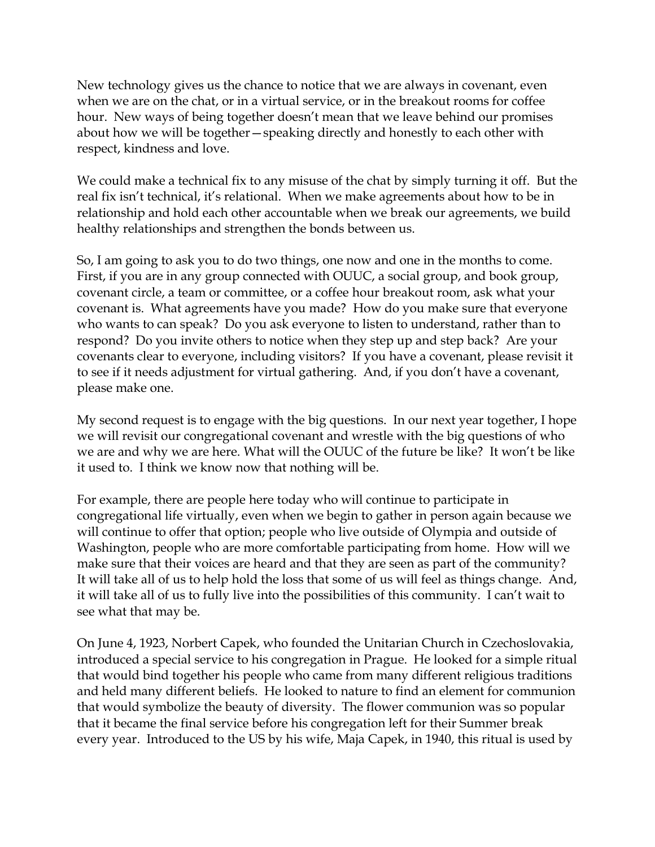New technology gives us the chance to notice that we are always in covenant, even when we are on the chat, or in a virtual service, or in the breakout rooms for coffee hour. New ways of being together doesn't mean that we leave behind our promises about how we will be together—speaking directly and honestly to each other with respect, kindness and love.

We could make a technical fix to any misuse of the chat by simply turning it off. But the real fix isn't technical, it's relational. When we make agreements about how to be in relationship and hold each other accountable when we break our agreements, we build healthy relationships and strengthen the bonds between us.

So, I am going to ask you to do two things, one now and one in the months to come. First, if you are in any group connected with OUUC, a social group, and book group, covenant circle, a team or committee, or a coffee hour breakout room, ask what your covenant is. What agreements have you made? How do you make sure that everyone who wants to can speak? Do you ask everyone to listen to understand, rather than to respond? Do you invite others to notice when they step up and step back? Are your covenants clear to everyone, including visitors? If you have a covenant, please revisit it to see if it needs adjustment for virtual gathering. And, if you don't have a covenant, please make one.

My second request is to engage with the big questions. In our next year together, I hope we will revisit our congregational covenant and wrestle with the big questions of who we are and why we are here. What will the OUUC of the future be like? It won't be like it used to. I think we know now that nothing will be.

For example, there are people here today who will continue to participate in congregational life virtually, even when we begin to gather in person again because we will continue to offer that option; people who live outside of Olympia and outside of Washington, people who are more comfortable participating from home. How will we make sure that their voices are heard and that they are seen as part of the community? It will take all of us to help hold the loss that some of us will feel as things change. And, it will take all of us to fully live into the possibilities of this community. I can't wait to see what that may be.

On June 4, 1923, Norbert Capek, who founded the Unitarian Church in Czechoslovakia, introduced a special service to his congregation in Prague. He looked for a simple ritual that would bind together his people who came from many different religious traditions and held many different beliefs. He looked to nature to find an element for communion that would symbolize the beauty of diversity. The flower communion was so popular that it became the final service before his congregation left for their Summer break every year. Introduced to the US by his wife, Maja Capek, in 1940, this ritual is used by